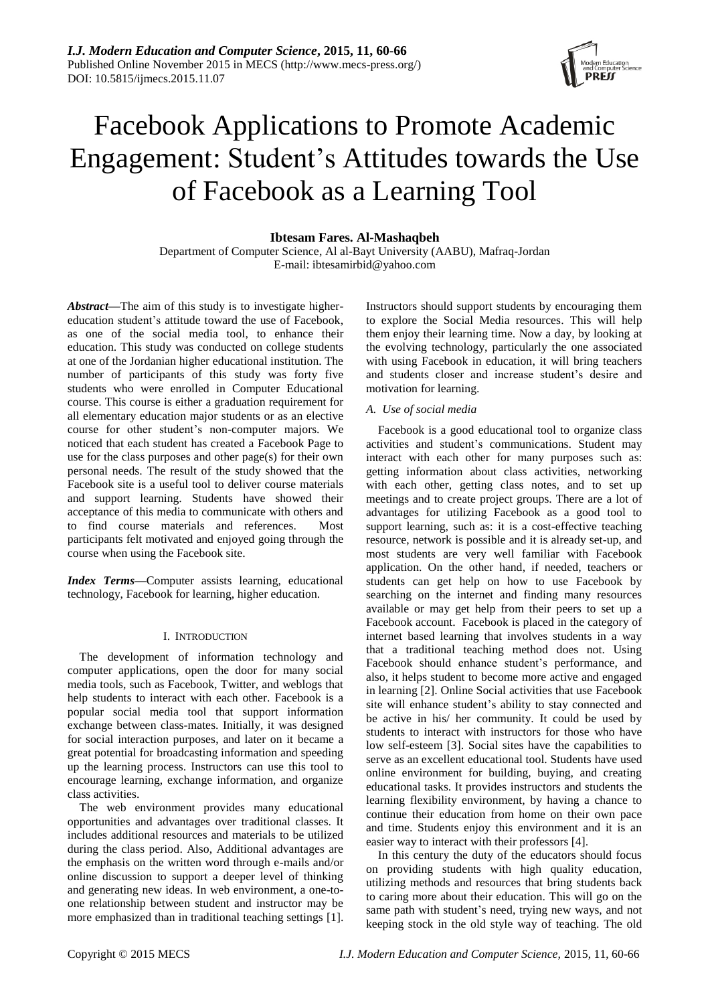# Facebook Applications to Promote Academic Engagement: Student"s Attitudes towards the Use of Facebook as a Learning Tool

**Ibtesam Fares. Al-Mashaqbeh**

Department of Computer Science, Al al-Bayt University (AABU), Mafraq-Jordan E-mail: ibtesamirbid@yahoo.com

*Abstract—*The aim of this study is to investigate highereducation student"s attitude toward the use of Facebook, as one of the social media tool, to enhance their education. This study was conducted on college students at one of the Jordanian higher educational institution. The number of participants of this study was forty five students who were enrolled in Computer Educational course. This course is either a graduation requirement for all elementary education major students or as an elective course for other student"s non-computer majors. We noticed that each student has created a Facebook Page to use for the class purposes and other page(s) for their own personal needs. The result of the study showed that the Facebook site is a useful tool to deliver course materials and support learning. Students have showed their acceptance of this media to communicate with others and to find course materials and references. Most participants felt motivated and enjoyed going through the course when using the Facebook site.

*Index Terms—*Computer assists learning, educational technology, Facebook for learning, higher education.

# I. INTRODUCTION

The development of information technology and computer applications, open the door for many social media tools, such as Facebook, Twitter, and weblogs that help students to interact with each other. Facebook is a popular social media tool that support information exchange between class-mates. Initially, it was designed for social interaction purposes, and later on it became a great potential for broadcasting information and speeding up the learning process. Instructors can use this tool to encourage learning, exchange information, and organize class activities.

The web environment provides many educational opportunities and advantages over traditional classes. It includes additional resources and materials to be utilized during the class period. Also, Additional advantages are the emphasis on the written word through e-mails and/or online discussion to support a deeper level of thinking and generating new ideas. In web environment, a one-toone relationship between student and instructor may be more emphasized than in traditional teaching settings [1]. Instructors should support students by encouraging them to explore the Social Media resources. This will help them enjoy their learning time. Now a day, by looking at the evolving technology, particularly the one associated with using Facebook in education, it will bring teachers and students closer and increase student"s desire and motivation for learning.

# *A. Use of social media*

Facebook is a good educational tool to organize class activities and student"s communications. Student may interact with each other for many purposes such as: getting information about class activities, networking with each other, getting class notes, and to set up meetings and to create project groups. There are a lot of advantages for utilizing Facebook as a good tool to support learning, such as: it is a cost-effective teaching resource, network is possible and it is already set-up, and most students are very well familiar with Facebook application. On the other hand, if needed, teachers or students can get help on how to use Facebook by searching on the internet and finding many resources available or may get help from their peers to set up a Facebook account. Facebook is placed in the category of internet based learning that involves students in a way that a traditional teaching method does not. Using Facebook should enhance student's performance, and also, it helps student to become more active and engaged in learning [2]. Online Social activities that use Facebook site will enhance student's ability to stay connected and be active in his/ her community. It could be used by students to interact with instructors for those who have low self-esteem [3]. Social sites have the capabilities to serve as an excellent educational tool. Students have used online environment for building, buying, and creating educational tasks. It provides instructors and students the learning flexibility environment, by having a chance to continue their education from home on their own pace and time. Students enjoy this environment and it is an easier way to interact with their professors [4].

In this century the duty of the educators should focus on providing students with high quality education, utilizing methods and resources that bring students back to caring more about their education. This will go on the same path with student's need, trying new ways, and not keeping stock in the old style way of teaching. The old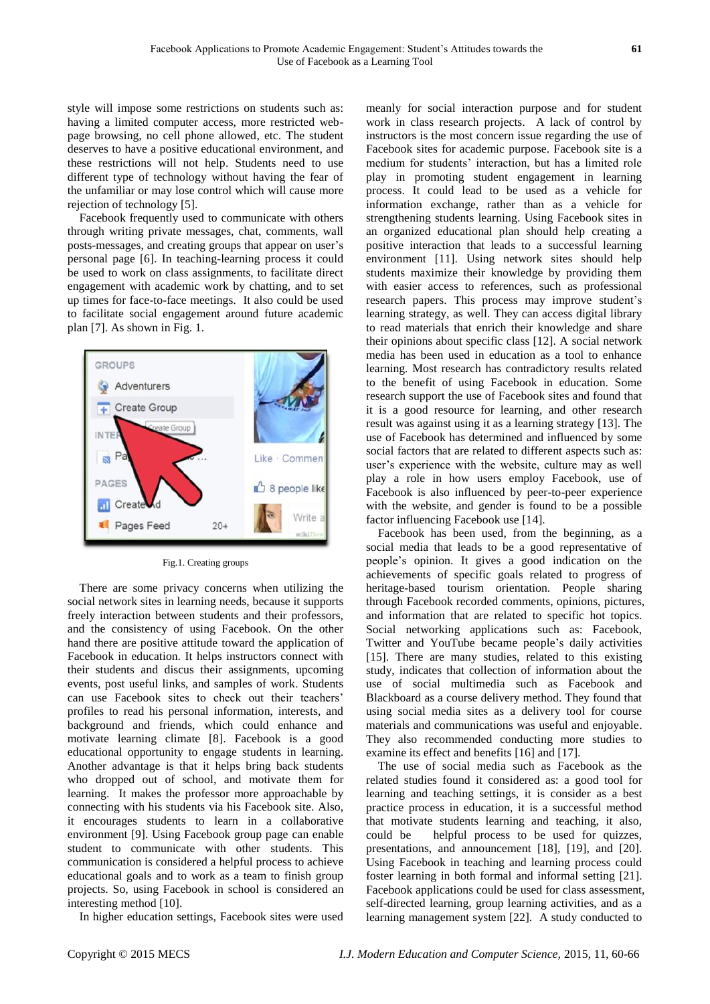style will impose some restrictions on students such as: having a limited computer access, more restricted webpage browsing, no cell phone allowed, etc. The student deserves to have a positive educational environment, and these restrictions will not help. Students need to use different type of technology without having the fear of the unfamiliar or may lose control which will cause more rejection of technology [5].

Facebook frequently used to communicate with others through writing private messages, chat, comments, wall posts-messages, and creating groups that appear on user"s personal page [6]. In teaching-learning process it could be used to work on class assignments, to facilitate direct engagement with academic work by chatting, and to set up times for face-to-face meetings. It also could be used to facilitate social engagement around future academic plan [7]. As shown in Fig. 1.



#### Fig.1. Creating groups

There are some privacy concerns when utilizing the social network sites in learning needs, because it supports freely interaction between students and their professors, and the consistency of using Facebook. On the other hand there are positive attitude toward the application of Facebook in education. It helps instructors connect with their students and discus their assignments, upcoming events, post useful links, and samples of work. Students can use Facebook sites to check out their teachers' profiles to read his personal information, interests, and background and friends, which could enhance and motivate learning climate [8]. Facebook is a good educational opportunity to engage students in learning. Another advantage is that it helps bring back students who dropped out of school, and motivate them for learning. It makes the professor more approachable by connecting with his students via his Facebook site. Also, it encourages students to learn in a collaborative environment [9]. Using Facebook group page can enable student to communicate with other students. This communication is considered a helpful process to achieve educational goals and to work as a team to finish group projects. So, using Facebook in school is considered an interesting method [10].

In higher education settings, Facebook sites were used

meanly for social interaction purpose and for student work in class research projects. A lack of control by instructors is the most concern issue regarding the use of Facebook sites for academic purpose. Facebook site is a medium for students" interaction, but has a limited role play in promoting student engagement in learning process. It could lead to be used as a vehicle for information exchange, rather than as a vehicle for strengthening students learning. Using Facebook sites in an organized educational plan should help creating a positive interaction that leads to a successful learning environment [11]. Using network sites should help students maximize their knowledge by providing them with easier access to references, such as professional research papers. This process may improve student's learning strategy, as well. They can access digital library to read materials that enrich their knowledge and share their opinions about specific class [12]. A social network media has been used in education as a tool to enhance learning. Most research has contradictory results related to the benefit of using Facebook in education. Some research support the use of Facebook sites and found that it is a good resource for learning, and other research result was against using it as a learning strategy [13]. The use of Facebook has determined and influenced by some social factors that are related to different aspects such as: user"s experience with the website, culture may as well play a role in how users employ Facebook, use of Facebook is also influenced by peer-to-peer experience with the website, and gender is found to be a possible factor influencing Facebook use [14].

Facebook has been used, from the beginning, as a social media that leads to be a good representative of people"s opinion. It gives a good indication on the achievements of specific goals related to progress of heritage-based tourism orientation. People sharing through Facebook recorded comments, opinions, pictures, and information that are related to specific hot topics. Social networking applications such as: Facebook, Twitter and YouTube became people"s daily activities [15]. There are many studies, related to this existing study, indicates that collection of information about the use of social multimedia such as Facebook and Blackboard as a course delivery method. They found that using social media sites as a delivery tool for course materials and communications was useful and enjoyable. They also recommended conducting more studies to examine its effect and benefits [16] and [17].

The use of social media such as Facebook as the related studies found it considered as: a good tool for learning and teaching settings, it is consider as a best practice process in education, it is a successful method that motivate students learning and teaching, it also, could be helpful process to be used for quizzes, presentations, and announcement [18], [19], and [20]. Using Facebook in teaching and learning process could foster learning in both formal and informal setting [21]. Facebook applications could be used for class assessment, self-directed learning, group learning activities, and as a learning management system [22]. A study conducted to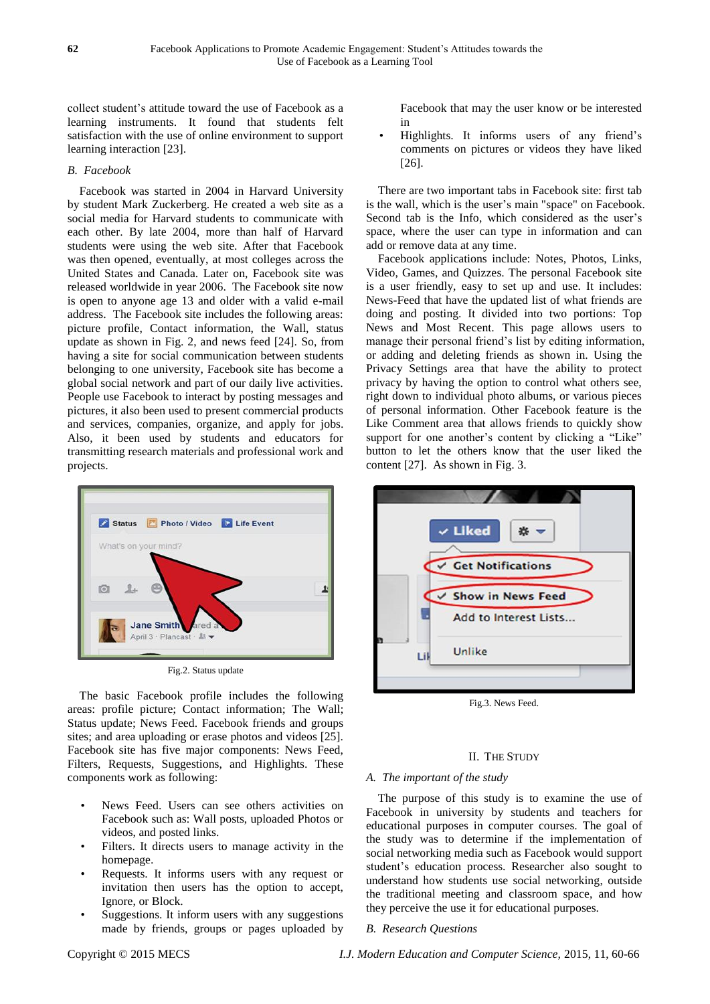collect student"s attitude toward the use of Facebook as a learning instruments. It found that students felt satisfaction with the use of online environment to support learning interaction [23].

### *B. Facebook*

Facebook was started in 2004 in Harvard University by student Mark Zuckerberg. He created a web site as a social media for Harvard students to communicate with each other. By late 2004, more than half of Harvard students were using the web site. After that Facebook was then opened, eventually, at most colleges across the United States and Canada. Later on, Facebook site was released worldwide in year 2006. The Facebook site now is open to anyone age 13 and older with a valid e-mail address. The Facebook site includes the following areas: picture profile, Contact information, the Wall, status update as shown in Fig. 2, and news feed [24]. So, from having a site for social communication between students belonging to one university, Facebook site has become a global social network and part of our daily live activities. People use Facebook to interact by posting messages and pictures, it also been used to present commercial products and services, companies, organize, and apply for jobs. Also, it been used by students and educators for transmitting research materials and professional work and projects.



Fig.2. Status update

The basic Facebook profile includes the following areas: profile picture; Contact information; The Wall; Status update; News Feed. Facebook friends and groups sites; and area uploading or erase photos and videos [25]. Facebook site has five major components: News Feed, Filters, Requests, Suggestions, and Highlights. These components work as following:

- News Feed. Users can see others activities on Facebook such as: Wall posts, uploaded Photos or videos, and posted links.
- Filters. It directs users to manage activity in the homepage.
- Requests. It informs users with any request or invitation then users has the option to accept, Ignore, or Block.
- Suggestions. It inform users with any suggestions made by friends, groups or pages uploaded by

Facebook that may the user know or be interested in

• Highlights. It informs users of any friend"s comments on pictures or videos they have liked [26].

There are two important tabs in Facebook site: first tab is the wall, which is the user's main "space" on Facebook. Second tab is the Info, which considered as the user's space, where the user can type in information and can add or remove data at any time.

Facebook applications include: Notes, Photos, Links, Video, Games, and Quizzes. The personal Facebook site is a user friendly, easy to set up and use. It includes: News-Feed that have the updated list of what friends are doing and posting. It divided into two portions: Top News and Most Recent. This page allows users to manage their personal friend"s list by editing information, or adding and deleting friends as shown in. Using the Privacy Settings area that have the ability to protect privacy by having the option to control what others see, right down to individual photo albums, or various pieces of personal information. Other Facebook feature is the Like Comment area that allows friends to quickly show support for one another's content by clicking a "Like" button to let the others know that the user liked the content [27]. As shown in Fig. 3.



Fig.3. News Feed.

# II. THE STUDY

# *A. The important of the study*

The purpose of this study is to examine the use of Facebook in university by students and teachers for educational purposes in computer courses. The goal of the study was to determine if the implementation of social networking media such as Facebook would support student"s education process. Researcher also sought to understand how students use social networking, outside the traditional meeting and classroom space, and how they perceive the use it for educational purposes.

# *B. Research Questions*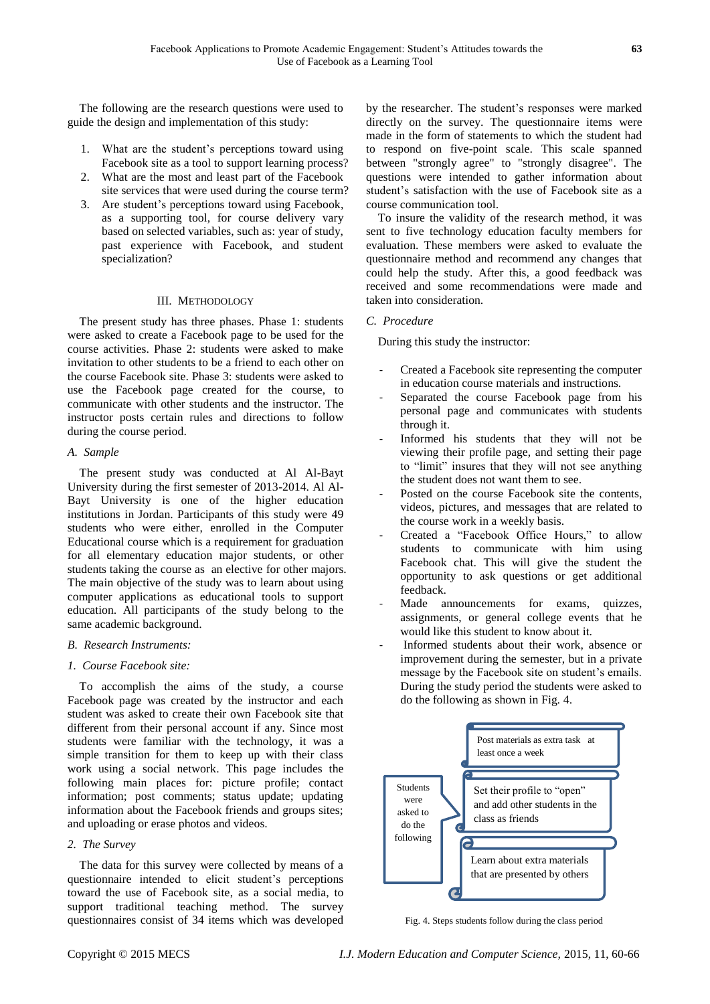The following are the research questions were used to guide the design and implementation of this study:

- 1. What are the student"s perceptions toward using Facebook site as a tool to support learning process?
- 2. What are the most and least part of the Facebook site services that were used during the course term?
- 3. Are student"s perceptions toward using Facebook, as a supporting tool, for course delivery vary based on selected variables, such as: year of study, past experience with Facebook, and student specialization?

#### III. METHODOLOGY

The present study has three phases. Phase 1: students were asked to create a Facebook page to be used for the course activities. Phase 2: students were asked to make invitation to other students to be a friend to each other on the course Facebook site. Phase 3: students were asked to use the Facebook page created for the course, to communicate with other students and the instructor. The instructor posts certain rules and directions to follow during the course period.

#### *A. Sample*

The present study was conducted at Al Al-Bayt University during the first semester of 2013-2014. Al Al-Bayt University is one of the higher education institutions in Jordan. Participants of this study were 49 students who were either, enrolled in the Computer Educational course which is a requirement for graduation for all elementary education major students, or other students taking the course as an elective for other majors. The main objective of the study was to learn about using computer applications as educational tools to support education. All participants of the study belong to the same academic background.

#### *B. Research Instruments:*

#### *1. Course Facebook site:*

To accomplish the aims of the study, a course Facebook page was created by the instructor and each student was asked to create their own Facebook site that different from their personal account if any. Since most students were familiar with the technology, it was a simple transition for them to keep up with their class work using a social network. This page includes the following main places for: picture profile; contact information; post comments; status update; updating information about the Facebook friends and groups sites; and uploading or erase photos and videos.

### *2. The Survey*

The data for this survey were collected by means of a questionnaire intended to elicit student"s perceptions toward the use of Facebook site, as a social media, to support traditional teaching method. The survey questionnaires consist of 34 items which was developed by the researcher. The student's responses were marked directly on the survey. The questionnaire items were made in the form of statements to which the student had to respond on five-point scale. This scale spanned between "strongly agree" to "strongly disagree". The questions were intended to gather information about student"s satisfaction with the use of Facebook site as a course communication tool.

To insure the validity of the research method, it was sent to five technology education faculty members for evaluation. These members were asked to evaluate the questionnaire method and recommend any changes that could help the study. After this, a good feedback was received and some recommendations were made and taken into consideration.

#### *C. Procedure*

During this study the instructor:

- Created a Facebook site representing the computer in education course materials and instructions.
- Separated the course Facebook page from his personal page and communicates with students through it.
- Informed his students that they will not be viewing their profile page, and setting their page to "limit" insures that they will not see anything the student does not want them to see.
- Posted on the course Facebook site the contents, videos, pictures, and messages that are related to the course work in a weekly basis.
- Created a "Facebook Office Hours," to allow students to communicate with him using Facebook chat. This will give the student the opportunity to ask questions or get additional feedback.
- Made announcements for exams, quizzes, assignments, or general college events that he would like this student to know about it.
- Informed students about their work, absence or improvement during the semester, but in a private message by the Facebook site on student's emails. During the study period the students were asked to do the following as shown in Fig. 4.



Fig. 4. Steps students follow during the class period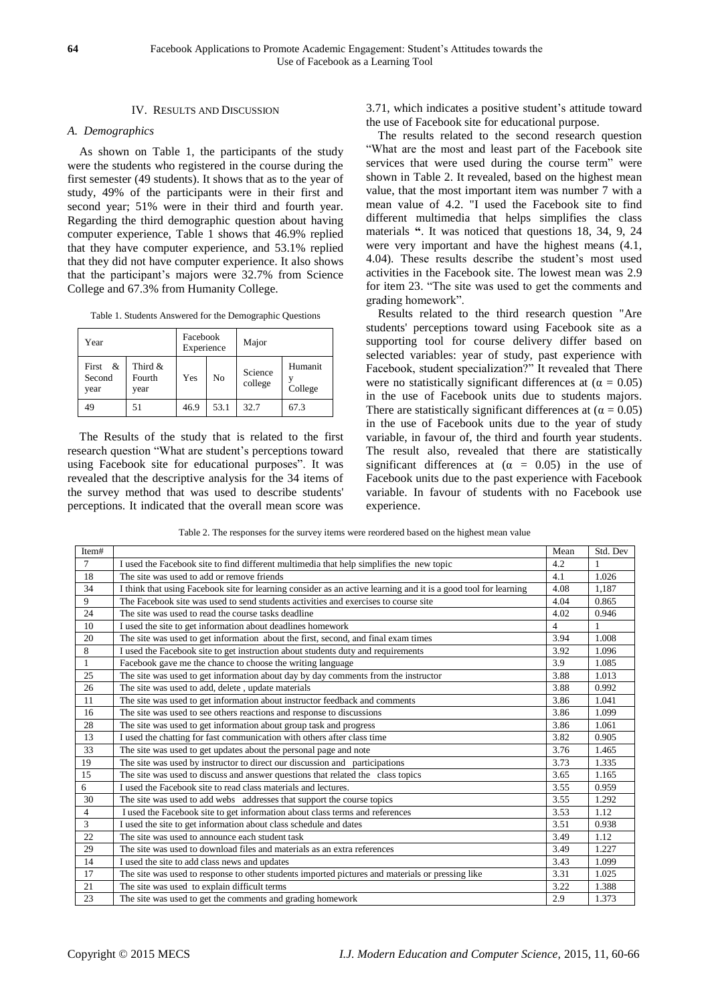## IV. RESULTS AND DISCUSSION

### *A. Demographics*

As shown on Table 1, the participants of the study were the students who registered in the course during the first semester (49 students). It shows that as to the year of study, 49% of the participants were in their first and second year; 51% were in their third and fourth year. Regarding the third demographic question about having computer experience, Table 1 shows that 46.9% replied that they have computer experience, and 53.1% replied that they did not have computer experience. It also shows that the participant"s majors were 32.7% from Science College and 67.3% from Humanity College.

| Table 1. Students Answered for the Demographic Questions |  |  |
|----------------------------------------------------------|--|--|
|----------------------------------------------------------|--|--|

| Year                         |                           | Facebook<br>Experience |                | Major              |                    |
|------------------------------|---------------------------|------------------------|----------------|--------------------|--------------------|
| First $\&$<br>Second<br>year | Third &<br>Fourth<br>year | Yes                    | N <sub>0</sub> | Science<br>college | Humanit<br>College |
| 49                           | 51                        | 46.9                   | 53.1           | 32.7               | 67.3               |

The Results of the study that is related to the first research question "What are student's perceptions toward using Facebook site for educational purposes". It was revealed that the descriptive analysis for the 34 items of the survey method that was used to describe students' perceptions. It indicated that the overall mean score was 3.71, which indicates a positive student"s attitude toward the use of Facebook site for educational purpose.

The results related to the second research question "What are the most and least part of the Facebook site services that were used during the course term" were shown in Table 2. It revealed, based on the highest mean value, that the most important item was number 7 with a mean value of 4.2. "I used the Facebook site to find different multimedia that helps simplifies the class materials **"**. It was noticed that questions 18, 34, 9, 24 were very important and have the highest means (4.1, 4.04). These results describe the student"s most used activities in the Facebook site. The lowest mean was 2.9 for item 23. "The site was used to get the comments and grading homework".

Results related to the third research question "Are students' perceptions toward using Facebook site as a supporting tool for course delivery differ based on selected variables: year of study, past experience with Facebook, student specialization?" It revealed that There were no statistically significant differences at ( $\alpha = 0.05$ ) in the use of Facebook units due to students majors. There are statistically significant differences at ( $\alpha = 0.05$ ) in the use of Facebook units due to the year of study variable, in favour of, the third and fourth year students. The result also, revealed that there are statistically significant differences at  $(\alpha = 0.05)$  in the use of Facebook units due to the past experience with Facebook variable. In favour of students with no Facebook use experience.

Table 2. The responses for the survey items were reordered based on the highest mean value

| Item#          |                                                                                                                 | Mean           | Std. Dev |
|----------------|-----------------------------------------------------------------------------------------------------------------|----------------|----------|
| $\tau$         | I used the Facebook site to find different multimedia that help simplifies the new topic                        | 4.2            |          |
| 18             | The site was used to add or remove friends                                                                      | 4.1            | 1.026    |
| 34             | I think that using Facebook site for learning consider as an active learning and it is a good tool for learning | 4.08           | 1,187    |
| 9              | The Facebook site was used to send students activities and exercises to course site                             | 4.04           | 0.865    |
| 24             | The site was used to read the course tasks deadline                                                             | 4.02           | 0.946    |
| 10             | I used the site to get information about deadlines homework                                                     | $\overline{4}$ |          |
| 20             | The site was used to get information about the first, second, and final exam times                              | 3.94           | 1.008    |
| 8              | I used the Facebook site to get instruction about students duty and requirements                                | 3.92           | 1.096    |
| $\mathbf{1}$   | Facebook gave me the chance to choose the writing language                                                      | 3.9            | 1.085    |
| 25             | The site was used to get information about day by day comments from the instructor                              | 3.88           | 1.013    |
| 26             | The site was used to add, delete, update materials                                                              | 3.88           | 0.992    |
| 11             | The site was used to get information about instructor feedback and comments                                     | 3.86           | 1.041    |
| 16             | The site was used to see others reactions and response to discussions                                           | 3.86           | 1.099    |
| 28             | The site was used to get information about group task and progress                                              | 3.86           | 1.061    |
| 13             | I used the chatting for fast communication with others after class time                                         | 3.82           | 0.905    |
| 33             | The site was used to get updates about the personal page and note                                               | 3.76           | 1.465    |
| 19             | The site was used by instructor to direct our discussion and participations                                     | 3.73           | 1.335    |
| 15             | The site was used to discuss and answer questions that related the class topics                                 | 3.65           | 1.165    |
| 6              | I used the Facebook site to read class materials and lectures.                                                  | 3.55           | 0.959    |
| 30             | The site was used to add webs addresses that support the course topics                                          | 3.55           | 1.292    |
| $\overline{4}$ | I used the Facebook site to get information about class terms and references                                    | 3.53           | 1.12     |
| 3              | I used the site to get information about class schedule and dates                                               | 3.51           | 0.938    |
| 22             | The site was used to announce each student task                                                                 | 3.49           | 1.12     |
| 29             | The site was used to download files and materials as an extra references                                        | 3.49           | 1.227    |
| 14             | I used the site to add class news and updates                                                                   | 3.43           | 1.099    |
| 17             | The site was used to response to other students imported pictures and materials or pressing like                | 3.31           | 1.025    |
| 21             | The site was used to explain difficult terms                                                                    | 3.22           | 1.388    |
| 23             | The site was used to get the comments and grading homework                                                      | 2.9            | 1.373    |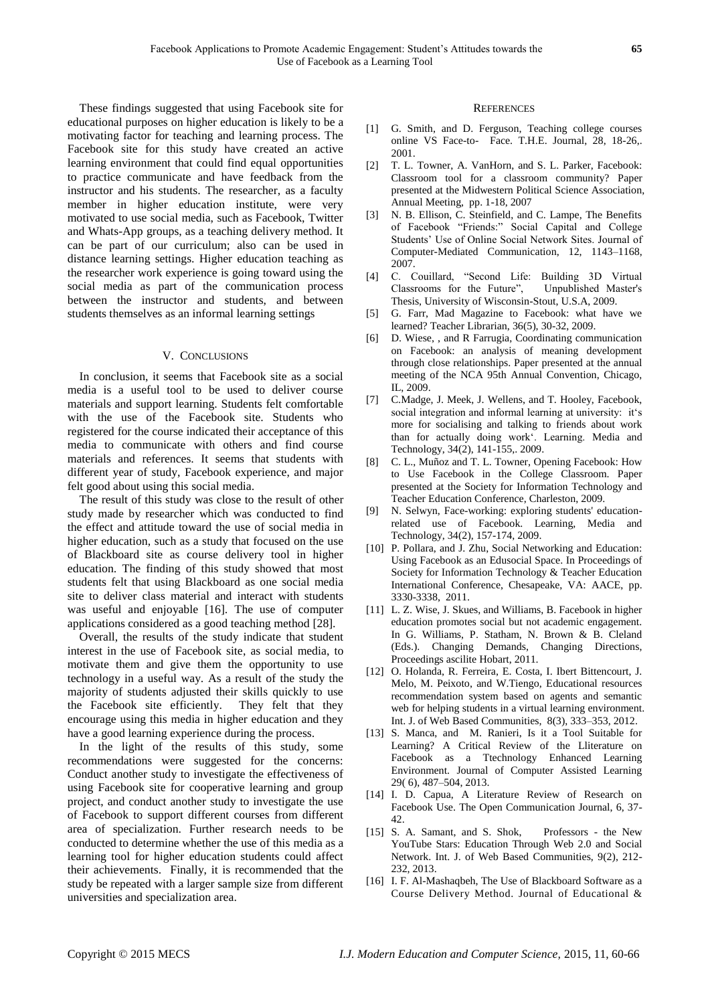These findings suggested that using Facebook site for educational purposes on higher education is likely to be a motivating factor for teaching and learning process. The Facebook site for this study have created an active learning environment that could find equal opportunities to practice communicate and have feedback from the instructor and his students. The researcher, as a faculty member in higher education institute, were very motivated to use social media, such as Facebook, Twitter and Whats-App groups, as a teaching delivery method. It can be part of our curriculum; also can be used in distance learning settings. Higher education teaching as the researcher work experience is going toward using the social media as part of the communication process between the instructor and students, and between students themselves as an informal learning settings

#### V. CONCLUSIONS

In conclusion, it seems that Facebook site as a social media is a useful tool to be used to deliver course materials and support learning. Students felt comfortable with the use of the Facebook site. Students who registered for the course indicated their acceptance of this media to communicate with others and find course materials and references. It seems that students with different year of study, Facebook experience, and major felt good about using this social media.

The result of this study was close to the result of other study made by researcher which was conducted to find the effect and attitude toward the use of social media in higher education, such as a study that focused on the use of Blackboard site as course delivery tool in higher education. The finding of this study showed that most students felt that using Blackboard as one social media site to deliver class material and interact with students was useful and enjoyable [16]. The use of computer applications considered as a good teaching method [28].

Overall, the results of the study indicate that student interest in the use of Facebook site, as social media, to motivate them and give them the opportunity to use technology in a useful way. As a result of the study the majority of students adjusted their skills quickly to use the Facebook site efficiently. They felt that they encourage using this media in higher education and they have a good learning experience during the process.

In the light of the results of this study, some recommendations were suggested for the concerns: Conduct another study to investigate the effectiveness of using Facebook site for cooperative learning and group project, and conduct another study to investigate the use of Facebook to support different courses from different area of specialization. Further research needs to be conducted to determine whether the use of this media as a learning tool for higher education students could affect their achievements. Finally, it is recommended that the study be repeated with a larger sample size from different universities and specialization area.

#### **REFERENCES**

- [1] G. Smith, and D. Ferguson, Teaching college courses online VS Face-to- Face. T.H.E. Journal, 28, 18-26,. 2001.
- [2] T. L. Towner, A. VanHorn, and S. L. Parker, Facebook: Classroom tool for a classroom community? Paper presented at the Midwestern Political Science Association, Annual Meeting, pp. 1-18, 2007
- [3] N. B. Ellison, C. Steinfield, and C. Lampe, The Benefits of Facebook "Friends:" Social Capital and College Students" Use of Online Social Network Sites. Journal of Computer-Mediated Communication, 12, 1143–1168, 2007.
- [4] C. Couillard, "Second Life: Building 3D Virtual Classrooms for the Future", Unpublished Master's Thesis, University of Wisconsin-Stout, U.S.A, 2009.
- [5] G. Farr, Mad Magazine to Facebook: what have we learned? Teacher Librarian, 36(5), 30-32, 2009.
- [6] D. Wiese, , and R Farrugia, Coordinating communication on Facebook: an analysis of meaning development through close relationships. Paper presented at the annual meeting of the NCA 95th Annual Convention, Chicago, IL, 2009.
- [7] C.Madge, J. Meek, J. Wellens, and T. Hooley, Facebook, social integration and informal learning at university: it's more for socialising and talking to friends about work than for actually doing work". Learning. Media and Technology, 34(2), 141-155,. 2009.
- [8] C. L., Muñoz and T. L. Towner, Opening Facebook: How to Use Facebook in the College Classroom. Paper presented at the Society for Information Technology and Teacher Education Conference, Charleston, 2009.
- [9] N. Selwyn, Face-working: exploring students' educationrelated use of Facebook. Learning, Media and Technology, 34(2), 157-174, 2009.
- [10] P. Pollara, and J. Zhu, Social Networking and Education: Using Facebook as an Edusocial Space. In Proceedings of Society for Information Technology & Teacher Education International Conference, Chesapeake, VA: AACE, pp. 3330-3338, 2011.
- [11] L. Z. Wise, J. Skues, and Williams, B. Facebook in higher education promotes social but not academic engagement. In G. Williams, P. Statham, N. Brown & B. Cleland (Eds.). Changing Demands, Changing Directions, Proceedings ascilite Hobart, 2011.
- [12] O. Holanda, R. Ferreira, E. Costa, I. Ibert Bittencourt, J. Melo, M. Peixoto, and W.Tiengo, Educational resources recommendation system based on agents and semantic web for helping students in a virtual learning environment. Int. J. of Web Based Communities, 8(3), 333–353, 2012.
- [13] S. Manca, and M. Ranieri, Is it a Tool Suitable for Learning? A Critical Review of the Lliterature on Facebook as a Ttechnology Enhanced Learning Environment. Journal of Computer Assisted Learning 29( 6), 487–504, 2013.
- [14] I. D. Capua, A Literature Review of Research on Facebook Use. The Open Communication Journal, 6, 37- 42.
- [15] S. A. Samant, and S. Shok, Professors the New YouTube Stars: Education Through Web 2.0 and Social Network. Int. J. of Web Based Communities, 9(2), 212- 232, 2013.
- [16] I. F. Al-Mashaqbeh, The Use of Blackboard Software as a Course Delivery Method. Journal of Educational &